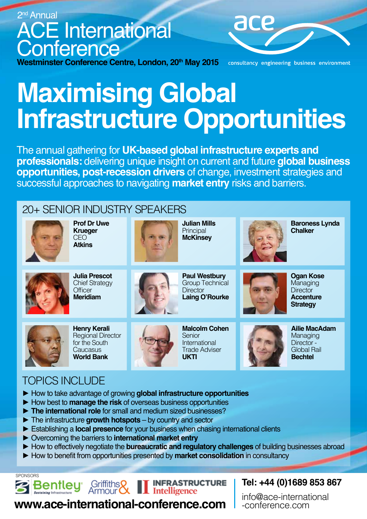

# **Maximising Global Infrastructure Opportunities**

The annual gathering for **UK-based global infrastructure experts and professionals:** delivering unique insight on current and future **global business opportunities, post-recession drivers** of change, investment strategies and successful approaches to navigating **market entry** risks and barriers.

## 20+ SENIOR INDUSTRY SPEAKERS



**Prof Dr Uwe Krueger** CEO **Atkins**



**Julian Mills Principal McKinsey**



**Baroness Lynda Chalker**



**Julia Prescot** Chief Strategy **Officer Meridiam**



**Paul Westbury** Group Technical **Director Laing O'Rourke**



**Ogan Kose**  Managing **Director Accenture Strategy** 



**Henry Kerali** Regional Director for the South **Caucasus World Bank**



**Malcolm Cohen** Senior International Trade Adviser **UKTI** 

**Ailie MacAdam Managing** Director - Global Rail **Bechtel**

# **TOPICS INCLUDE**

- ► How to take advantage of growing **global infrastructure opportunities**
- ► How best to **manage the risk** of overseas business opportunities
- ► **The international role** for small and medium sized businesses?
- ► The infrastructure **growth hotspots**  by country and sector
- ► Establishing a **local presence** for your business when chasing international clients
- ► Overcoming the barriers to **international market entry**

Griffiths

Armour **CX** 

- ► How to effectively negotiate the **bureaucratic and regulatory challenges** of building businesses abroad
- ► How to benefit from opportunities presented by **market consolidation** in consultancy

**SPONSORS** 



**INFRASTRUCTURE Intelligence** 

### **www.ace-international-conference.com**

**Tel: +44 (0)1689 853 867** 

info@ace-international -conference.com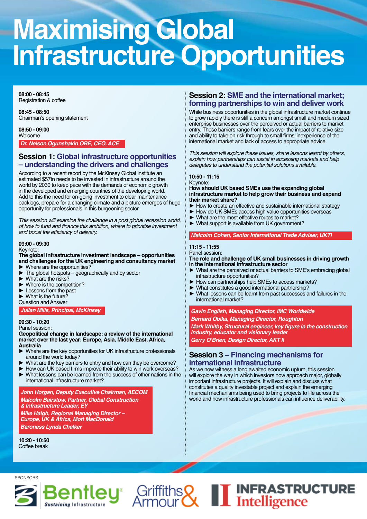# **Maximising Global Infrastructure Opportunities**

**08:00 - 08:45** Registration & coffee

**08:45 - 08:50** Chairman's opening statement

**08:50 - 09:00** Welcome

*Dr. Nelson Ogunshakin OBE, CEO, ACE*

#### **Session 1: Global infrastructure opportunities – understanding the drivers and challenges**

According to a recent report by the McKinsey Global Institute an estimated \$57tn needs to be invested in infrastructure around the world by 2030 to keep pace with the demands of economic growth in the developed and emerging countries of the developing world. Add to this the need for on-going investment to clear maintenance backlogs, prepare for a changing climate and a picture emerges of huge opportunity for professionals in this burgeoning sector.

*This session will examine the challenge in a post global recession world,*  of how to fund and finance this ambition, where to prioritise investment and boost the efficiency of delivery.

#### **09:00 - 09:30** Keynote:

#### **The global infrastructure investment landscape – opportunities and challenges for the UK engineering and consultancy market**

- $\triangleright$  Where are the opportunities?<br> $\triangleright$  The global hotspots geogra
- The global hotspots geographically and by sector
- What are the risks?
- Where is the competition?
- Lessons from the past
- $\blacktriangleright$  What is the future?
- Question and Answer

*Julian Mills, Principal, McKinsey*

**09:30 - 10:20** Panel session:

#### **Geopolitical change in landscape: a review of the international market over the last year: Europe, Asia, Middle East, Africa, Australia**

- Where are the key opportunities for UK infrastructure professionals around the world today?
- What are the key barriers to entry and how can they be overcome?
- ► How can UK based firms improve their ability to win work overseas?<br>► What lessons can be learned from the success of other nations in the
- What lessons can be learned from the success of other nations in the international infrastructure market?

*John Horgan, Deputy Executive Chairman, AECOM Malcolm Bairstow, Partner, Global Construction* 

*& Infrastructure Leader, EY Mike Haigh, Regional Managing Director – Europe, UK & Africa, Mott MacDonald Baroness Lynda Chalker*

**10:20 - 10:50** Coffee break

#### **Session 2: SME and the international market; forming partnerships to win and deliver work**

While business opportunities in the global infrastructure market continue to grow rapidly there is still a concern amongst small and medium sized enterprise businesses over the perceived or actual barriers to market entry. These barriers range from fears over the impact of relative size and ability to take on risk through to small firms' inexperience of the international market and lack of access to appropriate advice.

This session will explore these issues, share lessons learnt by others, *explain how partnerships can assist in accessing markets and help*  delegates to understand the potential solutions available.

#### **10:50 - 11:15**

Keynote:

**How should UK based SMEs use the expanding global infrastructure market to help grow their business and expand their market share?**

- ► How to create an effective and sustainable international strategy<br>► How do UK SMEs access high value opportunities overseas
- How do UK SMEs access high value opportunities overseas
- ► What are the most effective routes to market?<br>► What support is available from UK government
- What support is available from UK government?

#### *Malcolm Cohen, Senior International Trade Adviser, UKTI*

#### **11:15 - 11:55**

Panel session:

**The role and challenge of UK small businesses in driving growth in the international infrastructure sector**

- What are the perceived or actual barriers to SME's embracing global infrastructure opportunities?
- ► How can partnerships help SMEs to access markets?
- ► What constitutes a good international partnership?<br>► What lessons can be learnt from past successes a
- What lessons can be learnt from past successes and failures in the international market?

#### *Gavin English, Managing Director, IMC Worldwide Bernard Obika, Managing Director, Roughton*

**Mark Whitby, Structural engineer, key figure in the construction**  *industry, educator and visionary leader*

**Gerry O'Brien, Design Director, AKT II**

#### **Session 3 – Financing mechanisms for international infrastructure**

As we now witness a long awaited economic upturn, this session will explore the way in which investors now approach major, globally important infrastructure projects. It will explain and discuss what constitutes a quality investable project and explain the emerging financial mechanisms being used to bring projects to life across the world and how infrastructure professionals can influence deliverability.



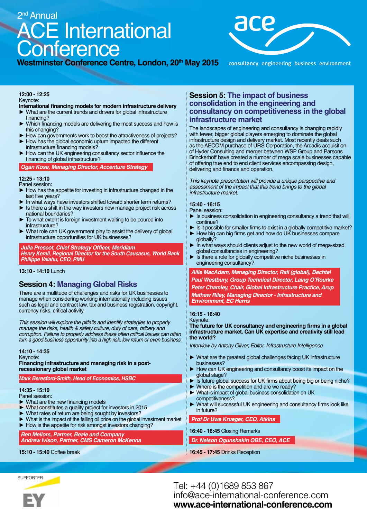# ACE International **Conference** 2<sup>nd</sup> Annual





consultancy engineering business environment

#### **12:00 - 12:25** Keynote:

#### **International financing models for modern infrastructure delivery**

- What are the current trends and drivers for global infrastructure financing?
- Which financing models are delivering the most success and how is this changing?
- How can governments work to boost the attractiveness of projects?
- How has the global economic upturn impacted the different infrastructure financing models?
- How can the UK engineering consultancy sector influence the financing of global infrastructure?

*Ogan Kose, Managing Director, Accenture Strategy*

#### **12:25 - 13:10**

Panel session:

- ► How has the appetite for investing in infrastructure changed in the last five years?
- In what ways have investors shifted toward shorter term returns?
- Is there a shift in the way investors now manage project risk across national boundaries?
- To what extent is foreign investment waiting to be poured into infrastructure?
- What role can UK government play to assist the delivery of global infrastructure opportunities for UK businesses?

#### **Julia Prescot, Chief Strategy Officer, Meridiam**

*Henry Kerali, Regional Director for the South Caucasus, World Bank Philippe Valahu, CEO, PMU*

#### **13:10 - 14:10** Lunch

#### **Session 4: Managing Global Risks**

There are a multitude of challenges and risks for UK businesses to manage when considering working internationally including issues such as legal and contract law, tax and business registration, copyright, currency risks, critical activity.

This session will explore the pitfalls and identify strategies to properly manage the risks, health & safety culture, duty of care, bribery and corruption. Failure to properly address these often critical issues can often turn a good business opportunity into a high risk, low return or even business.

**14:10 - 14:35** Keynote: **Financing infrastructure and managing risk in a postrecessionary global market**

#### *Mark Beresford-Smith, Head of Economics, HSBC*

**14:35 - 15:10**

- Panel session:
- What are the new financing models
- What constitutes a quality project for investors in 2015
- What rates of return are being sought by investors?
- What is the impact of the falling oil price on the global investment market ► How is the appetite for risk amongst investors changing?
- 

*Ben Mellors, Partner, Beale and Company Andrew Ivison, Partner, CMS Cameron McKenna*

**15:10 - 15:40** Coffee break

#### **Session 5: The impact of business consolidation in the engineering and consultancy on competitiveness in the global infrastructure market**

The landscapes of engineering and consultancy is changing rapidly with fewer, bigger global players emerging to dominate the global infrastructure design and delivery market. Most recently deals such as the AECOM purchase of URS Corporation, the Arcadis acquisition of Hyder Consulting and merger between WSP Group and Parsons Brinckerhoff have created a number of mega scale businesses capable of offering true end to end client services encompassing design, delivering and finance and operation.

This keynote presentation will provide a unique perspective and *assessment of the impact that this trend brings to the global*  infrastructure market.

#### **15:40 - 16:15**

Panel session:

- ► Is business consolidation in engineering consultancy a trend that will continue?
- Is it possible for smaller firms to exist in a globally competitive market? How big can big firms get and how do UK businesses compare
- globally?
- In what ways should clients adjust to the new world of mega-sized global consultancies in engineering?
- Is there a role for globally competitive niche businesses in engineering consultancy?

*Ailie MacAdam, Managing Director, Rail (global), Bechtel* **Paul Westbury, Group Technical Director, Laing O'Rourke** *Peter Chamley, Chair, Global Infrastructure Practice, Arup Mathew Riley, Managing Director - Infrastructure and Environment, EC Harris*

#### **16:15 - 16:40**

#### Keynote: **The future for UK consultancy and engineering firms in a global infrastructure market. Can UK expertise and creativity still lead the world?**

Interview by Antony Oliver, Editor, Infrastructure Intelligence

- ► What are the greatest global challenges facing UK infrastructure businesses?
- ► How can UK engineering and consultancy boost its impact on the global stage?
- Is future global success for UK firms about being big or being niche?
- ► Where is the competition and are we ready? What is impact of global business consolidation on UK
- competitiveness?
- What will successful UK engineering and consultancy firms look like in future?

#### *Prof Dr Uwe Krueger, CEO, Atkins*

**16:40 - 16:45** Closing Remarks

*Dr. Nelson Ogunshakin OBE, CEO, ACE*

#### **16:45 - 17:45** Drinks Reception

**SUPPORTER** 



Tel: +44 (0)1689 853 867 info@ace-international-conference.com **www.ace-international-conference.com**